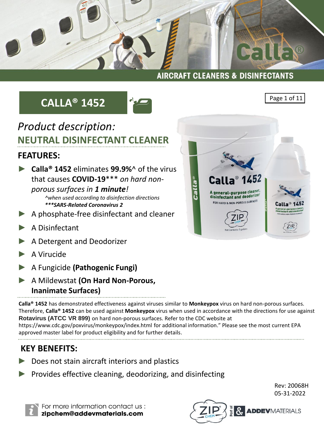

# **CALLA® 1452**



### *Product description:* **NEUTRAL DISINFECTANT CLEANER**

### **FEATURES:**

► **Calla® 1452** eliminates **99.9%**^ of the virus that causes **COVID-19**\*\*\* *on hard non-*

*porous surfaces in 1 minute! ^when used according to disinfection directions \*\*\*SARS-Related Coronavirus 2*

- A phosphate-free disinfectant and cleaner
- ► A Disinfectant
- A Detergent and Deodorizer
- ► A Virucide
- ► A Fungicide **(Pathogenic Fungi)**
- ► A Mildewstat **(On Hard Non-Porous, Inanimate Surfaces)**

**Calla® 1452** has demonstrated effectiveness against viruses similar to **Monkeypox** virus on hard non-porous surfaces. Therefore, **Calla® 1452** can be used against **Monkeypox** virus when used in accordance with the directions for use against **Rotavirus (ATCC VR 899)** on hard non-porous surfaces. Refer to the CDC website at https://www.cdc.gov/poxvirus/monkeypox/index.html for additional information." Please see the most current EPA approved master label for product eligibility and for further details.

### **KEY BENEFITS:**

- Does not stain aircraft interiors and plastics
- Provides effective cleaning, deodorizing, and disinfecting

Rev: 20068H 05-31-2022







Page 1 of 11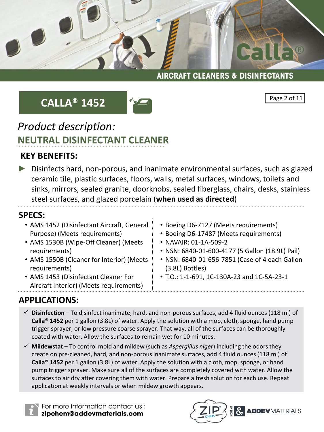# **CALLA® 1452**





Galles

# *Product description:* **NEUTRAL DISINFECTANT CLEANER**

### **KEY BENEFITS:**

► Disinfects hard, non-porous, and inanimate environmental surfaces, such as glazed ceramic tile, plastic surfaces, floors, walls, metal surfaces, windows, toilets and sinks, mirrors, sealed granite, doorknobs, sealed fiberglass, chairs, desks, stainless steel surfaces, and glazed porcelain (**when used as directed**)

### **SPECS:**

- AMS 1452 (Disinfectant Aircraft, General Purpose) (Meets requirements)
- AMS 1530B (Wipe-Off Cleaner) (Meets requirements)
- AMS 1550B (Cleaner for Interior) (Meets requirements)
- AMS 1453 (Disinfectant Cleaner For Aircraft Interior) (Meets requirements)
- Boeing D6-7127 (Meets requirements)
- Boeing D6-17487 (Meets requirements)
- NAVAIR: 01-1A-509-2
- NSN: 6840-01-600-4177 (5 Gallon (18.9L) Pail)
- NSN: 6840-01-656-7851 (Case of 4 each Gallon (3.8L) Bottles)
- T.O.: 1-1-691, 1C-130A-23 and 1C-5A-23-1

### **APPLICATIONS:**

- ✓ **Disinfection** To disinfect inanimate, hard, and non-porous surfaces, add 4 fluid ounces (118 ml) of **Calla® 1452** per 1 gallon (3.8L) of water. Apply the solution with a mop, cloth, sponge, hand pump trigger sprayer, or low pressure coarse sprayer. That way, all of the surfaces can be thoroughly coated with water. Allow the surfaces to remain wet for 10 minutes.
- ✓ **Mildewstat** To control mold and mildew (such as *Aspergillus niger*) including the odors they create on pre-cleaned, hard, and non-porous inanimate surfaces, add 4 fluid ounces (118 ml) of **Calla® 1452** per 1 gallon (3.8L) of water. Apply the solution with a cloth, mop, sponge, or hand pump trigger sprayer. Make sure all of the surfaces are completely covered with water. Allow the surfaces to air dry after covering them with water. Prepare a fresh solution for each use. Repeat application at weekly intervals or when mildew growth appears.



For more information contact us : zipchem@addevmaterials.com

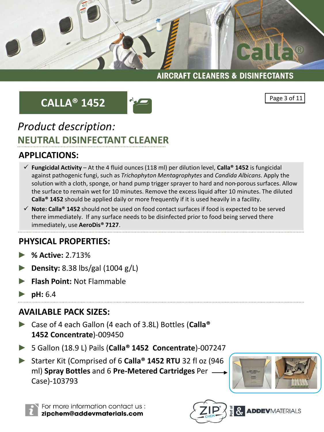**AIRCRAFT CLEANERS & DISINFECTANTS** 

# **CALLA® 1452**





Calla

# *Product description:* **NEUTRAL DISINFECTANT CLEANER**

### **APPLICATIONS:**

- ✓ **Fungicidal Activity**  At the 4 fluid ounces (118 ml) per dilution level, **Calla® 1452** is fungicidal against pathogenic fungi, such as *Trichophyton Mentagrophytes* and *Candida Albicans*. Apply the solution with a cloth, sponge, or hand pump trigger sprayer to hard and non-porous surfaces. Allow the surface to remain wet for 10 minutes. Remove the excess liquid after 10 minutes. The diluted **Calla® 1452** should be applied daily or more frequently if it is used heavily in a facility.
- ✓ **Note: Calla® 1452** should not be used on food contact surfaces if food is expected to be served there immediately. If any surface needs to be disinfected prior to food being served there immediately, use **AeroDis® 7127**.

### **PHYSICAL PROPERTIES:**

- ► **% Active:** 2.713%
- ► **Density:** 8.38 lbs/gal (1004 g/L)
- ► **Flash Point:** Not Flammable
- ► **pH:** 6.4

### **AVAILABLE PACK SIZES:**

- ► Case of 4 each Gallon (4 each of 3.8L) Bottles (**Calla® 1452 Concentrate**)-009450
- ► 5 Gallon (18.9 L) Pails (**Calla® 1452 Concentrate**)-007247
- ► Starter Kit (Comprised of 6 **Calla® 1452 RTU** 32 fl oz (946 ml) **Spray Bottles** and 6 **Pre-Metered Cartridges** Per Case)-103793







**R. ADDEV**MATERIALS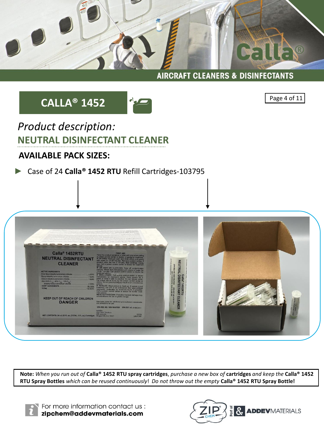

# **CALLA® 1452**



Page 4 of 11

# *Product description:* **NEUTRAL DISINFECTANT CLEANER**

### **AVAILABLE PACK SIZES:**

### ► Case of 24 **Calla® 1452 RTU** Refill Cartridges-103795



**Note:** *When you run out of* **Calla® 1452 RTU spray cartridges**, *purchase a new box of* **cartridges** *and keep the* **Calla® 1452 RTU Spray Bottles** *which can be reused continuously*! *Do not throw out the empty* **Calla® 1452 RTU Spray Bottle!**



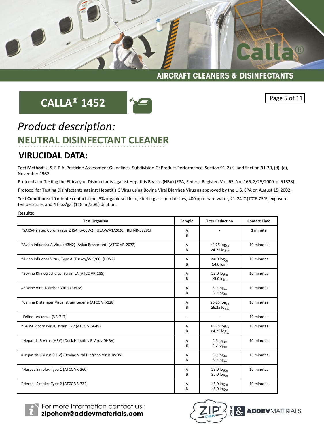

# **CALLA® 1452**



Page 5 of 11

**Q** 

GALLE

# *Product description:* **NEUTRAL DISINFECTANT CLEANER**

#### **VIRUCIDAL DATA:**

**Test Method:** U.S. E.P.A. Pesticide Assessment Guidelines, Subdivision G: Product Performance, Section 91-2 (f), and Section 91-30, (d), (e), November 1982.

Protocols for Testing the Efficacy of Disinfectants against Hepatitis B Virus (HBV) (EPA, Federal Register, Vol. 65, No. 166, 8/25/2000, p. 51828).

Protocol for Testing Disinfectants against Hepatitis C Virus using Bovine Viral Diarrhea Virus as approved by the U.S. EPA on August 15, 2002.

**Test Conditions:** 10 minute contact time, 5% organic soil load, sterile glass petri dishes, 400 ppm hard water, 21-24°C (70°F-75°F) exposure temperature, and 4 fl oz/gal (118 ml/3.8L) dilution.

| ۰.<br>×<br>v<br>۰. |  |
|--------------------|--|
|                    |  |

| results.                                                               |        |                                                              |                     |
|------------------------------------------------------------------------|--------|--------------------------------------------------------------|---------------------|
| <b>Test Organism</b>                                                   | Sample | <b>Titer Reduction</b>                                       | <b>Contact Time</b> |
| *SARS-Related Coronavirus 2 [SARS-CoV-2] [USA-WA1/2020] [BEI NR-52281] | A<br>B |                                                              | 1 minute            |
| *Avian Influenza A Virus (H3N2) (Avian Ressortant) (ATCC VR-2072)      | A<br>B | ≥4.25 $log_{10}$<br>≥4.25 $log_{10}$                         | 10 minutes          |
| *Avian Influenza Virus, Type A (Turkey/WIS/66) (H9N2)                  | A<br>B | ≥4.0 $log_{10}$<br>≥4.0 $log_{10}$                           | 10 minutes          |
| *Bovine Rhinotracheitis, strain LA (ATCC VR-188)                       | A<br>B | $\geq$ 5.0 log <sub>10</sub><br>≥5.0 $log_{10}$              | 10 minutes          |
| <b>‡Bovine Viral Diarrhea Virus (BVDV)</b>                             | A<br>B | 5.9 $log_{10}$<br>5.9 log <sub>10</sub>                      | 10 minutes          |
| *Canine Distemper Virus, strain Lederle (ATCC VR-128)                  | A<br>B | ≥6.25 $log_{10}$<br>≥6.25 $log_{10}$                         | 10 minutes          |
| Feline Leukemia (VR-717)                                               |        |                                                              | 10 minutes          |
| *Feline Picornavirus, strain FRV (ATCC VR-649)                         | Α<br>B | ≥4.25 $log_{10}$<br>≥4.25 $log_{10}$                         | 10 minutes          |
| †Hepatitis B Virus (HBV) (Duck Hepatitis B Virus-DHBV)                 | A<br>B | 4.5 $log_{10}$<br>4.7 $log_{10}$                             | 10 minutes          |
| #Hepatitis C Virus (HCV) (Bovine Viral Diarrhea Virus-BVDV)            | A<br>B | 5.9 log <sub>10</sub><br>5.9 $log_{10}$                      | 10 minutes          |
| *Herpes Simplex Type 1 (ATCC VR-260)                                   | A<br>B | $\geq$ 5.0 log <sub>10</sub><br>$\geq$ 5.0 log <sub>10</sub> | 10 minutes          |
| *Herpes Simplex Type 2 (ATCC VR-734)                                   | A<br>B | ≥6.0 $log_{10}$<br>≥6.0 $log_{10}$                           | 10 minutes          |



For more information contact us : zipchem@addevmaterials.com

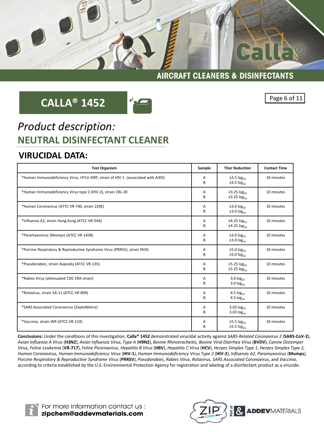

# **CALLA® 1452**



Page 6 of 11

## *Product description:* **NEUTRAL DISINFECTANT CLEANER**

### **VIRUCIDAL DATA:**

| <b>Test Organism</b>                                                              | Sample | <b>Titer Reduction</b>                                | <b>Contact Time</b> |
|-----------------------------------------------------------------------------------|--------|-------------------------------------------------------|---------------------|
| *Human Immunodeficiency Virus, HTLV-IIIRF, strain of HIV-1 (associated with AIDS) | A<br>B | ≥3.5 $log_{10}$<br>$\geq$ 3.5 $\log_{10}$             | 10 minutes          |
| *Human Immunodeficiency Virus type 2 (HIV-2), strain CBL-20                       | Α<br>B | ≥3.25 $log_{10}$<br>≥3.25 $log_{10}$                  | 10 minutes          |
| *Human Coronavirus (ATTC VR-740, strain 229E)                                     | A<br>B | ≥3.0 $log_{10}$<br>$\geq$ 3.0 $\log_{10}$             | 10 minutes          |
| *Influenza A2, strain Hong Kong (ATCC VR-544)                                     | Α<br>B | ≥4.25 $log_{10}$<br>≥4.25 $log_{10}$                  | 10 minutes          |
| *Paramyxovirus (Mumps) (ATCC VR-1438)                                             | Α<br>B | $\geq$ 3.0 $log_{10}$<br>≥3.0 $log_{10}$              | 10 minutes          |
| *Porcine Respiratory & Reproductive Syndrome Virus (PRRSV), strain NVSL           | Α<br>в | ≥5.0 $log_{10}$<br>≥5.0 $log_{10}$                    | 10 minutes          |
| *Pseudorabies, strain Aujeszky (ATCC VR-135)                                      | Α<br>B | ≥5.25 $log_{10}$<br>≥5.25 $log_{10}$                  | 10 minutes          |
| *Rabies Virus (attenuated CDC ERA strain)                                         | Α<br>B | 3.0 $log_{10}$<br>3.0 $log_{10}$                      | 10 minutes          |
| *Rotavirus, strain SA-11 (ATCC VR-899)                                            | A<br>B | 4.5 $log_{10}$<br>4.5 $log_{10}$                      | 10 minutes          |
| *SARS Associated Coronavirus (ZeptoMetrix)                                        | Α<br>B | 3.03 log <sub>10</sub><br>3.03 $log_{10}$             | 10 minutes          |
| *Vaccinia, strain WR (ATCC VR-119)                                                | А<br>B | $\geq$ 5.5 log <sub>10</sub><br>$\geq$ 5.5 $log_{10}$ | 10 minutes          |

**Conclusions:** Under the conditions of this investigation, **Calla® 1452** demonstrated virucidal activity against *SARS-Related Coronavirus 2 (***SARS-CoV-2**), *Avian Influenza A Virus* (**H3N2**), *Avian Influenza Virus, Type A* (**H9N2**), *Bovine Rhinotracheitis*, *Bovine Viral Diarrhea Virus* (**BVDV**), *Canine Distemper Virus*, *Feline Leukemia* (**VR-717**), *Feline Picornavirus*, *Hepatitis B Virus* (**HBV**), *Hepatitis C Virus* (**HCV**), *Herpes Simplex Type 1*, *Herpes Simplex Type 2, Human Coronavirus, Human Immunodeficiency Virus* (**HIV-1**), *Human Immunodeficiency Virus Type 2* (**HIV-2**), *Influenza A2, Paramyxovirus* (**Mumps***), Porcine Respiratory & Reproductive Syndrome Virus* (**PRRSV**), *Pseudorabies*, *Rabies Virus*, *Rotavirus*, *SARS Associated Coronavirus*, and *Vaccinia*, according to criteria established by the U.S. Environmental Protection Agency for registration and labeling of a disinfectant product as a virucide.



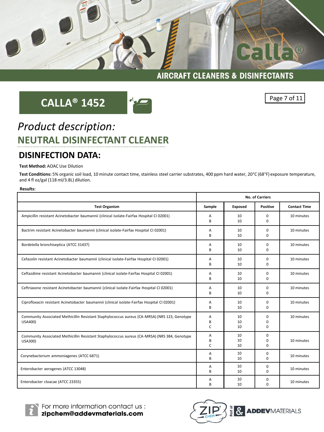

# **CALLA<sup>®</sup> 1452 Page 7 of 11**



## *Product description:* **NEUTRAL DISINFECTANT CLEANER**

### **DISINFECTION DATA:**

#### **Test Method:** AOAC Use Dilution

**Test Conditions:** 5% organic soil load, 10 minute contact time, stainless steel carrier substrates, 400 ppm hard water, 20°C (68°F) exposure temperature, and 4 fl oz/gal (118 ml/3.8L) dilution.

#### **Results:**

|                                                                                                          | <b>No. of Carriers</b> |                |                                  |                     |
|----------------------------------------------------------------------------------------------------------|------------------------|----------------|----------------------------------|---------------------|
| <b>Test Organism</b>                                                                                     | Sample                 | Exposed        | <b>Positive</b>                  | <b>Contact Time</b> |
| Ampicillin resistant Acinetobacter baumannii (clinical isolate-Fairfax Hospital CI 02001)                | A<br>R                 | 10<br>10       | 0<br>$\Omega$                    | 10 minutes          |
| Bactrim resistant Acinetobacter baumannii (clinical isolate-Fairfax Hospital CI 02001)                   | A<br>B                 | 10<br>10       | $\Omega$<br>$\Omega$             | 10 minutes          |
| Bordetella bronchiseptica (ATCC 31437)                                                                   | А<br>B                 | 10<br>10       | 0<br>0                           | 10 minutes          |
| Cefazolin resistant Acinetobacter baumannii (clinical isolate-Fairfax Hospital CI 02001)                 | Α<br>B                 | 10<br>10       | 0<br>$\Omega$                    | 10 minutes          |
| Ceftazdime resistant Acinetobacter baumannii (clinical isolate-Fairfax Hospital CI 02001)                | А<br>B                 | 10<br>10       | 0<br>0                           | 10 minutes          |
| Ceftriaxone resistant Acinetobacter baumannii (clinical isolate-Fairfax Hospital CI 02001)               | А<br>B                 | 10<br>10       | 0<br>$\Omega$                    | 10 minutes          |
| Ciprofloxacin resistant Acinetobacter baumannii (clinical isolate-Fairfax Hospital CI 02001)             | A<br>B                 | 10<br>10       | $\mathbf 0$<br>$\Omega$          | 10 minutes          |
| Community Associated Methicillin Resistant Staphylococcus aureus (CA-MRSA) (NRS 123, Genotype<br>USA400) | А<br>B<br>C            | 10<br>10<br>10 | 0<br>$\Omega$<br>$\Omega$        | 10 minutes          |
| Community Associated Methicillin Resistant Staphylococcus aureus (CA-MRSA) (NRS 384, Genotype<br>USA300) | Α<br>B<br>$\mathsf{C}$ | 10<br>10<br>10 | $\Omega$<br>$\Omega$<br>$\Omega$ | 10 minutes          |
| Corynebacterium ammoniagenes (ATCC 6871)                                                                 | Α<br>B                 | 10<br>10       | $\mathbf 0$<br>$\Omega$          | 10 minutes          |
| Enterobacter aerogenes (ATCC 13048)                                                                      | Α<br>B                 | 10<br>10       | $\mathbf 0$<br>$\Omega$          | 10 minutes          |
| Enterobacter cloacae (ATCC 23355)                                                                        | Α<br>B                 | 10<br>10       | 0<br>$\Omega$                    | 10 minutes          |



For more information contact us :<br>**zipchem@addevmaterials.com** 

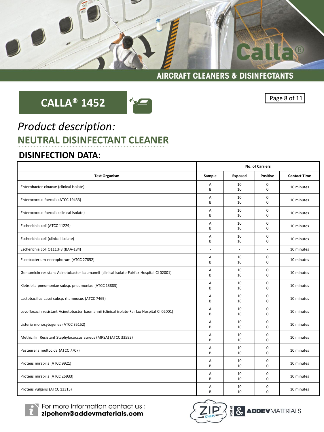

# **CALLA® 1452**



Page 8 of 11

## *Product description:* **NEUTRAL DISINFECTANT CLEANER**

### **DISINFECTION DATA:**

|                                                                                             | No. of Carriers |                |                         |                     |
|---------------------------------------------------------------------------------------------|-----------------|----------------|-------------------------|---------------------|
| <b>Test Organism</b>                                                                        | Sample          | <b>Exposed</b> | <b>Positive</b>         | <b>Contact Time</b> |
| Enterobacter cloacae (clinical isolate)                                                     | Α<br>B          | 10<br>10       | 0<br>$\Omega$           | 10 minutes          |
| Enterococcus faecalis (ATCC 19433)                                                          | Α<br>B          | 10<br>10       | $\pmb{0}$<br>$\Omega$   | 10 minutes          |
| Enterococcus faecalis (clinical isolate)                                                    | Α<br>B          | 10<br>10       | $\pmb{0}$<br>$\Omega$   | 10 minutes          |
| Escherichia coli (ATCC 11229)                                                               | А<br>B          | 10<br>10       | 0<br>$\Omega$           | 10 minutes          |
| Escherichia coli (clinical isolate)                                                         | Α<br>B          | 10<br>10       | 0<br>0                  | 10 minutes          |
| Escherichia coli O111:H8 (BAA-184)                                                          | ÷.              | $\sim$         | $\overline{a}$          | 10 minutes          |
| Fusobacterium necrophorum (ATCC 27852)                                                      | Α<br>B          | 10<br>10       | 0<br>$\Omega$           | 10 minutes          |
| Gentamicin resistant Acinetobacter baumannii (clinical isolate-Fairfax Hospital CI 02001)   | Α<br>B          | 10<br>10       | 0<br>$\Omega$           | 10 minutes          |
| Klebsiella pneumoniae subsp. pneumoniae (ATCC 13883)                                        | Α<br>B          | 10<br>10       | 0<br>0                  | 10 minutes          |
| Lactobacillus casei subsp. rhamnosus (ATCC 7469)                                            | А<br>B          | 10<br>10       | $\mathbf 0$<br>$\Omega$ | 10 minutes          |
| Levofloxacin resistant Acinetobacter baumannii (clinical isolate-Fairfax Hospital CI 02001) | А<br>B          | 10<br>10       | 0<br>0                  | 10 minutes          |
| Listeria monocytogenes (ATCC 35152)                                                         | Α<br>B          | 10<br>10       | $\pmb{0}$<br>$\Omega$   | 10 minutes          |
| Methicillin Resistant Staphylococcus aureus (MRSA) (ATCC 33592)                             | Α<br>B          | 10<br>10       | 0<br>$\Omega$           | 10 minutes          |
| Pasteurella multocida (ATCC 7707)                                                           | Α<br>B          | 10<br>10       | 0<br>0                  | 10 minutes          |
| Proteus mirabilis (ATCC 9921)                                                               | Α<br>B          | 10<br>10       | 0<br>$\Omega$           | 10 minutes          |
| Proteus mirabilis (ATCC 25933)                                                              | Α<br>B          | 10<br>10       | 0<br>$\Omega$           | 10 minutes          |
| Proteus vulgaris (ATCC 13315)                                                               | Α<br>B          | 10<br>10       | 0<br>$\Omega$           | 10 minutes          |



For more information contact us :<br>**zipchem@addevmaterials.com** 

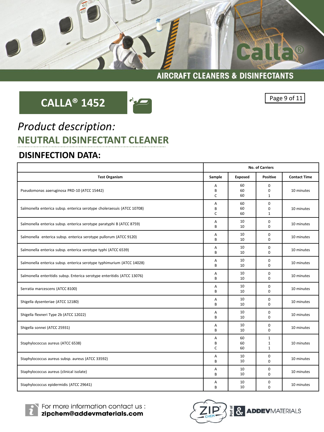

# **CALLA® 1452**



Page 9 of 11

## *Product description:* **NEUTRAL DISINFECTANT CLEANER**

### **DISINFECTION DATA:**

|                                                                          | No. of Carriers |                |                                              |                     |
|--------------------------------------------------------------------------|-----------------|----------------|----------------------------------------------|---------------------|
| <b>Test Organism</b>                                                     | Sample          | Exposed        | <b>Positive</b>                              | <b>Contact Time</b> |
| Pseudomonas aaeruginosa PRD-10 (ATCC 15442)                              | А<br>B<br>C     | 60<br>60<br>60 | $\mathbf 0$<br>0<br>1                        | 10 minutes          |
| Salmonella enterica subsp. enterica serotype choleraesuis (ATCC 10708)   | A<br>B<br>C     | 60<br>60<br>60 | $\mathbf 0$<br>0<br>1                        | 10 minutes          |
| Salmonella enterica subsp. enterica serotype paratyphi B (ATCC 8759)     | А<br>B          | 10<br>10       | 0<br>$\Omega$                                | 10 minutes          |
| Salmonella enterica subsp. enterica serotype pullorum (ATCC 9120)        | A<br>B          | 10<br>10       | 0<br>0                                       | 10 minutes          |
| Salmonella enterica subsp. enterica serotype typhi (ATCC 6539)           | Α<br>B          | 10<br>10       | 0<br>0                                       | 10 minutes          |
| Salmonella enterica subsp. enterica serotype typhimurium (ATCC 14028)    | Α<br>B          | 10<br>10       | $\mathbf 0$<br>$\mathbf 0$                   | 10 minutes          |
| Salmonella enteritidis subsp. Enterica serotype enteritidis (ATCC 13076) | Α<br>B          | 10<br>10       | 0<br>$\Omega$                                | 10 minutes          |
| Serratia marcescens (ATCC 8100)                                          | Α<br>B          | 10<br>10       | $\mathbf 0$<br>$\mathbf 0$                   | 10 minutes          |
| Shigella dysenteriae (ATCC 12180)                                        | A<br>B          | 10<br>10       | 0<br>0                                       | 10 minutes          |
| Shigella flexneri Type 2b (ATCC 12022)                                   | А<br>B          | 10<br>10       | 0<br>0                                       | 10 minutes          |
| Shigella sonnei (ATCC 25931)                                             | Α<br>B          | 10<br>10       | 0<br>0                                       | 10 minutes          |
| Staphylococcus aureus (ATCC 6538)                                        | А<br>B<br>C     | 60<br>60<br>60 | $\mathbf{1}$<br>$\mathbf{1}$<br>$\mathbf{1}$ | 10 minutes          |
| Staphylococcus aureus subsp. aureus (ATCC 33592)                         | Α<br>B          | 10<br>10       | 0<br>$\mathbf 0$                             | 10 minutes          |
| Staphylococcus aureus (clinical isolate)                                 | А<br>B          | 10<br>10       | 0<br>0                                       | 10 minutes          |
| Staphylococcus epidermidis (ATCC 29641)                                  | А<br>B          | 10<br>10       | 0<br>0                                       | 10 minutes          |



For more information contact us :<br>**zipchem@addevmaterials.com** 

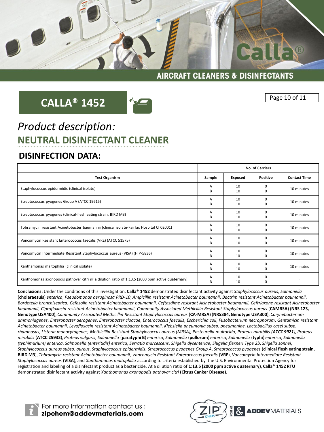

# **CALLA® 1452**



#### Page 10 of 11

### *Product description:* **NEUTRAL DISINFECTANT CLEANER**

### **DISINFECTION DATA:**

|                                                                                                 | <b>No. of Carriers</b> |                |                              |                          |
|-------------------------------------------------------------------------------------------------|------------------------|----------------|------------------------------|--------------------------|
| <b>Test Organism</b>                                                                            | Sample                 | <b>Exposed</b> | <b>Positive</b>              | <b>Contact Time</b>      |
| Staphylococcus epidermidis (clinical isolate)                                                   | A<br>R                 | 10<br>10       | <sup>0</sup><br><sup>0</sup> | 10 minutes               |
| Streptococcus pyogenes Group A (ATCC 19615)                                                     | A<br>R                 | 10<br>10       | <sup>0</sup><br>o            | 10 minutes               |
| Streptococcus pyogenes (clinical-flesh eating strain, BIRD M3)                                  | A<br>B                 | 10<br>10       | O                            | 10 minutes               |
| Tobramycin resistant Acinetobacter baumannii (clinical isolate-Fairfax Hospital CI 02001)       | A<br>R                 | 10<br>10       | O                            | 10 minutes               |
| Vancomycin Resistant Enterococcus faecalis (VRE) (ATCC 51575)                                   | A<br>B                 | 10<br>10       | O                            | 10 minutes               |
| Vancomycin Intermediate Resistant Staphylococcus aureus (VISA) (HIP-5836)                       | A<br>в                 | 10<br>10       |                              | 10 minutes               |
| Xanthamonas maltophilia (clinical isolate)                                                      | A<br>R                 | 10<br>10       | <sup>0</sup>                 | 10 minutes               |
| Xanthomonas axonopodis pathovar citri @ a dilution ratio of 1:13.5 (2000 ppm active quaternary) | Α<br>B                 | 10<br>10       | <sup>0</sup>                 | $\overline{\phantom{a}}$ |

**Conclusions:** Under the conditions of this investigation, **Calla® 1452** demonstrated disinfectant activity against *Staphylococcus aureus*, *Salmonella* (**choleraesuis**) *enterica*, *Pseudomonas aeruginosa PRD-10*, *Ampicillin resistant Acinetobacter baumannii*, *Bactrim resistant Acinetobacter baumannii*, *Bordetella bronchiseptica*, *Cefazolin resistant Acinetobacter baumannii*, *Ceftazdime resistant Acinetobacter baumannii*, *Ceftriaxone resistant Acinetobacter baumannii*, *Ciprofloxacin resistant Acinetobacter baumannii*, *Community Associated Methicillin Resistant Staphylococcus aureus* (**CAMRSA**) (**NRS 123, Genotype USA400**), *Community Associated Methicillin Resistant Staphylococcus aureus* (**CA-MRSA**) (**NRS384, Genotype USA300**), *Corynebacterium ammoniagenes*, *Enterobacter aerogenes*, *Enterobacter cloacae*, *Enterococcus faecalis*, *Escherichia coli*, *Fusobacterium necrophorum*, *Gentamicin resistant Acinetobacter baumannii*, *Levofloxacin resistant Acinetobacter baumannii*, *Klebsiella pneumonia subsp. pneumoniae*, *Lactobacillus casei subsp. rhamnosus, Listeria monocytogenes, Methicillin Resistant Staphylococcus aureus (MRSA), Pasteurella multocida, Proteus mirabilis (ATCC 9921), Proteus*  mirabilis (ATCC 25933), Proteus vulgaris, Salmonella (paratyphi B) enterica, Salmonella (pullorum) enterica, Salmonella (typhi) enterica, Salmonella *(typhimurium) enterica*, *Salmonella (enteritidis) enterica*, *Serratia marcescens*, *Shigella dysenteriae*, *Shigella flexneri Type 2b*, *Shigella sonnei*, *Staphylococcus aureus subsp. aureus*, *Staphylococcus epidermidis*, *Streptococcus pyogenes Group A*, *Streptococcus pyogenes* (**clinical flesh eating strain, BIRD M3**), *Tobramycin resistant Acinetobacter baumannii*, *Vancomycin Resistant Enterococcus faecalis* (**VRE**), *Vancomycin Intermediate Resistant Staphylococcus aureus* (**VISA**)*,* and *Xanthamonas maltophilia* according to criteria established by the U.S. Environmental Protection Agency for registration and labeling of a disinfectant product as a bactericide. At a dilution ratio of **1:13.5 (2000 ppm active quaternary)**, **Calla® 1452 RTU**  demonstrated disinfectant activity against *Xanthomonas axonopodis pathovar citri* **(Citrus Canker Disease)**.



For more information contact us:<br> **zipchem@addevmaterials.com**